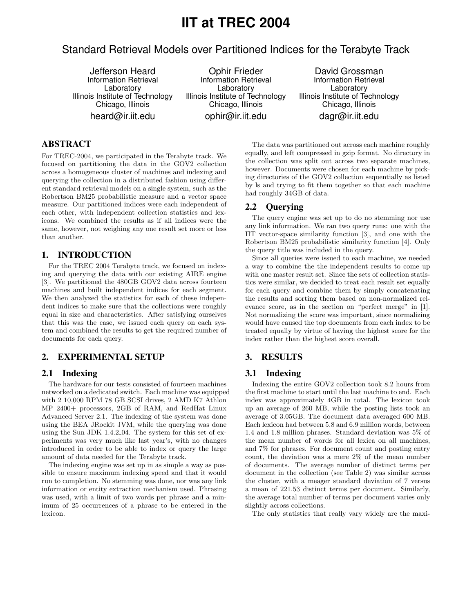# **IIT at TREC 2004**

## Standard Retrieval Models over Partitioned Indices for the Terabyte Track

Jefferson Heard Information Retrieval Laboratory Illinois Institute of Technology Chicago, Illinois heard@ir.iit.edu

Ophir Frieder Information Retrieval Laboratory Illinois Institute of Technology Chicago, Illinois ophir@ir.iit.edu

David Grossman Information Retrieval Laboratory Illinois Institute of Technology Chicago, Illinois dagr@ir.iit.edu

## **ABSTRACT**

For TREC-2004, we participated in the Terabyte track. We focused on partitioning the data in the GOV2 collection across a homogeneous cluster of machines and indexing and querying the collection in a distributed fashion using different standard retrieval models on a single system, such as the Robertson BM25 probabilistic measure and a vector space measure. Our partitioned indices were each independent of each other, with independent collection statistics and lexicons. We combined the results as if all indices were the same, however, not weighing any one result set more or less than another.

#### **1. INTRODUCTION**

For the TREC 2004 Terabyte track, we focused on indexing and querying the data with our existing AIRE engine [3]. We partitioned the 480GB GOV2 data across fourteen machines and built independent indices for each segment. We then analyzed the statistics for each of these independent indices to make sure that the collections were roughly equal in size and characteristics. After satisfying ourselves that this was the case, we issued each query on each system and combined the results to get the required number of documents for each query.

## **2. EXPERIMENTAL SETUP**

#### **2.1 Indexing**

The hardware for our tests consisted of fourteen machines networked on a dedicated switch. Each machine was equipped with 2 10,000 RPM 78 GB SCSI drives, 2 AMD K7 Athlon MP 2400+ processors, 2GB of RAM, and RedHat Linux Advanced Server 2.1. The indexing of the system was done using the BEA JRockit JVM, while the querying was done using the Sun JDK 1.4.2 04. The system for this set of experiments was very much like last year's, with no changes introduced in order to be able to index or query the large amount of data needed for the Terabyte track.

The indexing engine was set up in as simple a way as possible to ensure maximum indexing speed and that it would run to completion. No stemming was done, nor was any link information or entity extraction mechanism used. Phrasing was used, with a limit of two words per phrase and a minimum of 25 occurrences of a phrase to be entered in the lexicon.

The data was partitioned out across each machine roughly equally, and left compressed in gzip format. No directory in the collection was split out across two separate machines, however. Documents were chosen for each machine by picking directories of the GOV2 collection sequentially as listed by ls and trying to fit them together so that each machine had roughly 34GB of data.

## **2.2 Querying**

The query engine was set up to do no stemming nor use any link information. We ran two query runs: one with the IIT vector-space similarity function [3], and one with the Robertson BM25 probabilistic similarity function [4]. Only the query title was included in the query.

Since all queries were issued to each machine, we needed a way to combine the the independent results to come up with one master result set. Since the sets of collection statistics were similar, we decided to treat each result set equally for each query and combine them by simply concatenating the results and sorting them based on non-normalized relevance score, as in the section on "perfect merge" in [1]. Not normalizing the score was important, since normalizing would have caused the top documents from each index to be treated equally by virtue of having the highest score for the index rather than the highest score overall.

## **3. RESULTS**

#### **3.1 Indexing**

Indexing the entire GOV2 collection took 8.2 hours from the first machine to start until the last machine to end. Each index was approximately 4GB in total. The lexicon took up an average of 260 MB, while the posting lists took an average of 3.05GB. The document data averaged 600 MB. Each lexicon had between 5.8 and 6.9 million words, between 1.4 and 1.8 million phrases. Standard deviation was 5% of the mean number of words for all lexica on all machines, and 7% for phrases. For document count and posting entry count, the deviation was a mere 2% of the mean number of documents. The average number of distinct terms per document in the collection (see Table 2) was similar across the cluster, with a meager standard deviation of 7 versus a mean of 221.53 distinct terms per document. Similarly, the average total number of terms per document varies only slightly across collections.

The only statistics that really vary widely are the maxi-